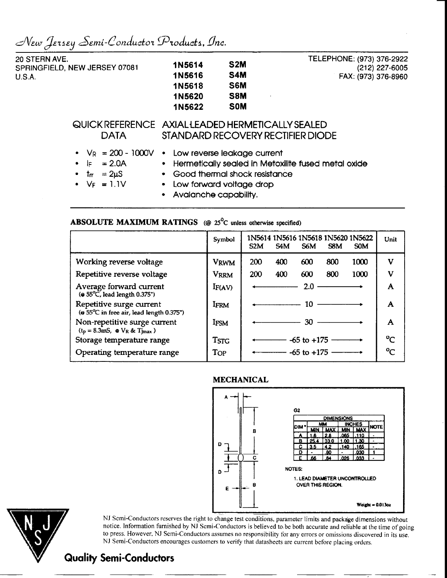$\mathcal{N}$ *EW JERSEY Semi-Conductor Products, Inc.* 

| 20 STERN AVE.<br>SPRINGFIELD, NEW JERSEY 07081<br><b>U.S.A.</b>                                                      | 1N5614<br>1N5616<br>1N5618<br>1N5620<br>1N5622                                                                                                                                   | S <sub>2</sub> M<br>S4M<br>S6M<br>S8M<br><b>SOM</b> | TELEPHONE: (973) 376-2922<br>(212) 227-6005<br>FAX: (973) 376-8960 |
|----------------------------------------------------------------------------------------------------------------------|----------------------------------------------------------------------------------------------------------------------------------------------------------------------------------|-----------------------------------------------------|--------------------------------------------------------------------|
| QUICK REFERENCE AXIAL LEADED HERMETICALLY SEALED<br><b>DATA</b>                                                      |                                                                                                                                                                                  |                                                     | STANDARD RECOVERY RECTIFIER DIODE                                  |
| • $V_R = 200 - 1000V$ • Low reverse leakage current<br>$= 2.0A$<br>$\bullet$ if<br>• $tr = 2\mu S$<br>• $V_F = 1.1V$ | • Good thermal shock resistance<br>• Low forward voltage drop<br>the contract of the contract of the contract of the contract of the contract of the contract of the contract of |                                                     | • Hermetically sealed in Metoxilite fused metal oxide              |

Avalanche capability.

## **ABSOLUTE MAXIMUM RATINGS** (@ 25<sup>o</sup>C unless otherwise specified)

|                                                                                         | Symbol             | 1N5614 1N5616 1N5618 1N5620 1N5622<br>Unit<br>S <sub>2</sub> M<br>S4M<br>S6M<br>S8M<br><b>SOM</b> |
|-----------------------------------------------------------------------------------------|--------------------|---------------------------------------------------------------------------------------------------|
| Working reverse voltage                                                                 | <b>VRWM</b>        | V<br>200<br>800<br>1000<br>400<br>600                                                             |
| Repetitive reverse voltage                                                              | <b>VRRM</b>        | v<br>1000<br>200<br>800<br>400<br>600                                                             |
| Average forward current<br>$($ a 55 $^{\circ}$ C, lead length 0.375")                   | I <sub>F(AV)</sub> | 2.0<br>A                                                                                          |
| Repetitive surge current<br>(@ 55°C in free air, lead length 0.375")                    | <b>IFRM</b>        | A<br>10.                                                                                          |
| Non-repetitive surge current<br>$(t_p = 8.3 \text{mS}, \otimes V_R \& T_{\text{Jmax}})$ | <b>IFSM</b>        | A<br>30 I                                                                                         |
| Storage temperature range                                                               | <b>TSTG</b>        | $\mathcal{C}$<br>$-65$ to $+175$                                                                  |
| Operating temperature range                                                             | Top                | م0<br>$-65$ to $+175$ $-$                                                                         |





NJ Semi-Conductors reserves the right to change test conditions, parameter limits and package dimensions without notice. Information furnished by NJ Semi-Conductors is believed to.be both accurate and reliable at the time of going to press. However. NJ Semi-Conductors assumes no responsibility for any errors or omissions discovered in its use. NJ Semi-Conductors encourages customers to verify that datasheets are current before placing orders.

## **Quality Semi-Conductors**